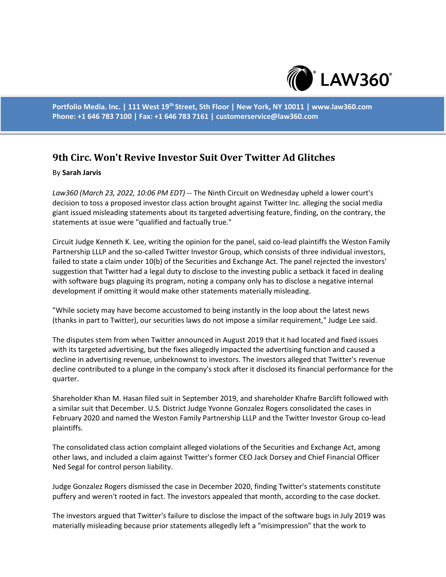

**Portfolio Media. Inc. | 111 West 19th Street, 5th Floor | New York, NY 10011 | www.law360.com Phone: +1 646 783 7100 | Fax: +1 646 783 7161 | customerservice@law360.com**

## **9th Circ. Won't Revive Investor Suit Over Twitter Ad Glitches**

## By **Sarah Jarvis**

*Law360 (March 23, 2022, 10:06 PM EDT)* -- The Ninth Circuit on Wednesday upheld a lower court's decision to toss a proposed investor class action brought against Twitter Inc. alleging the social media giant issued misleading statements about its targeted advertising feature, finding, on the contrary, the statements at issue were "qualified and factually true."

Circuit Judge Kenneth K. Lee, writing the opinion for the panel, said co-lead plaintiffs the Weston Family Partnership LLLP and the so-called Twitter Investor Group, which consists of three individual investors, failed to state a claim under 10(b) of the Securities and Exchange Act. The panel rejected the investors' suggestion that Twitter had a legal duty to disclose to the investing public a setback it faced in dealing with software bugs plaguing its program, noting a company only has to disclose a negative internal development if omitting it would make other statements materially misleading.

"While society may have become accustomed to being instantly in the loop about the latest news (thanks in part to Twitter), our securities laws do not impose a similar requirement," Judge Lee said.

The disputes stem from when Twitter announced in August 2019 that it had located and fixed issues with its targeted advertising, but the fixes allegedly impacted the advertising function and caused a decline in advertising revenue, unbeknownst to investors. The investors alleged that Twitter's revenue decline contributed to a plunge in the company's stock after it disclosed its financial performance for the quarter.

Shareholder Khan M. Hasan filed suit in September 2019, and shareholder Khafre Barclift followed with a similar suit that December. U.S. District Judge Yvonne Gonzalez Rogers consolidated the cases in February 2020 and named the Weston Family Partnership LLLP and the Twitter Investor Group co-lead plaintiffs.

The consolidated class action complaint alleged violations of the Securities and Exchange Act, among other laws, and included a claim against Twitter's former CEO Jack Dorsey and Chief Financial Officer Ned Segal for control person liability.

Judge Gonzalez Rogers dismissed the case in December 2020, finding Twitter's statements constitute puffery and weren't rooted in fact. The investors appealed that month, according to the case docket.

The investors argued that Twitter's failure to disclose the impact of the software bugs in July 2019 was materially misleading because prior statements allegedly left a "misimpression" that the work to